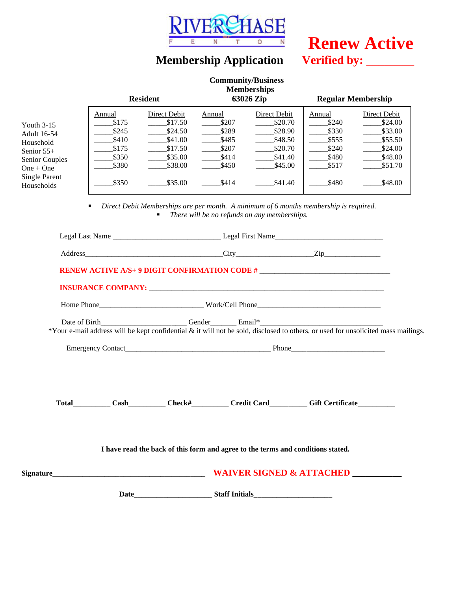



### **Membership Application**

|                                                                                                                                 |                                                                       |                                                                                                                                                                                    |                                                                       | <b>Community/Business</b><br><b>Memberships</b>                                           |                                                                       |                                                                                           |
|---------------------------------------------------------------------------------------------------------------------------------|-----------------------------------------------------------------------|------------------------------------------------------------------------------------------------------------------------------------------------------------------------------------|-----------------------------------------------------------------------|-------------------------------------------------------------------------------------------|-----------------------------------------------------------------------|-------------------------------------------------------------------------------------------|
|                                                                                                                                 | <b>Resident</b>                                                       |                                                                                                                                                                                    | 63026 Zip                                                             |                                                                                           | <b>Regular Membership</b>                                             |                                                                                           |
| Youth $3-15$<br>Adult 16-54<br>Household<br>Senior $55+$<br>Senior Couples<br>$One + One$<br><b>Single Parent</b><br>Households | Annual<br>\$175<br>\$245<br>\$410<br>\$175<br>\$350<br>\$380<br>\$350 | Direct Debit<br>\$17.50<br>\$24.50<br>\$41.00<br>\$17.50<br>\$35.00<br>\$38.00<br>\$35.00<br>Direct Debit Memberships are per month. A minimum of 6 months membership is required. | Annual<br>\$207<br>\$289<br>\$485<br>\$207<br>\$414<br>\$450<br>\$414 | Direct Debit<br>\$20.70<br>\$28.90<br>\$48.50<br>\$20.70<br>\$41.40<br>\$45.00<br>\$41.40 | Annual<br>\$240<br>\$330<br>\$555<br>\$240<br>\$480<br>\$517<br>\$480 | Direct Debit<br>\$24.00<br>\$33.00<br>\$55.50<br>\$24.00<br>\$48.00<br>\$51.70<br>\$48.00 |

▪ *There will be no refunds on any memberships.*

|  |  |  |                                                                                 | *Your e-mail address will be kept confidential & it will not be sold, disclosed to others, or used for unsolicited mass mailings. |  |  |  |
|--|--|--|---------------------------------------------------------------------------------|-----------------------------------------------------------------------------------------------------------------------------------|--|--|--|
|  |  |  |                                                                                 |                                                                                                                                   |  |  |  |
|  |  |  |                                                                                 | Total___________Cash___________Check#___________Credit Card___________Gift Certificate_____________                               |  |  |  |
|  |  |  | I have read the back of this form and agree to the terms and conditions stated. |                                                                                                                                   |  |  |  |
|  |  |  |                                                                                 |                                                                                                                                   |  |  |  |
|  |  |  | Date Staff Initials                                                             |                                                                                                                                   |  |  |  |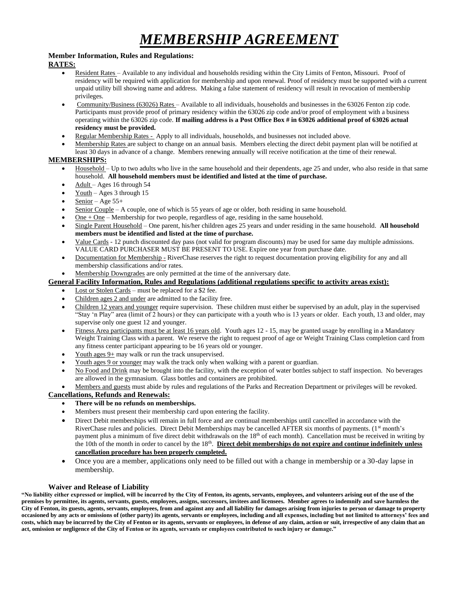# *MEMBERSHIP AGREEMENT*

### **Member Information, Rules and Regulations:**

#### **RATES:**

- Resident Rates Available to any individual and households residing within the City Limits of Fenton, Missouri. Proof of residency will be required with application for membership and upon renewal. Proof of residency must be supported with a current unpaid utility bill showing name and address. Making a false statement of residency will result in revocation of membership privileges.
- Community/Business (63026) Rates Available to all individuals, households and businesses in the 63026 Fenton zip code. Participants must provide proof of primary residency within the 63026 zip code and/or proof of employment with a business operating within the 63026 zip code. **If mailing address is a Post Office Box # in 63026 additional proof of 63026 actual residency must be provided.**
- Regular Membership Rates Apply to all individuals, households, and businesses not included above.
- Membership Rates are subject to change on an annual basis. Members electing the direct debit payment plan will be notified at least 30 days in advance of a change. Members renewing annually will receive notification at the time of their renewal.

#### **MEMBERSHIPS:**

- Household Up to two adults who live in the same household and their dependents, age 25 and under, who also reside in that same household. **All household members must be identified and listed at the time of purchase.**
- Adult Ages 16 through 54
- $Youth Ages 3 through 15$ </u>
- $Senior Age 55+$
- Senior Couple A couple, one of which is 55 years of age or older, both residing in same household.
- $One + One Membership$  for two people, regardless of age, residing in the same household.
- Single Parent Household One parent, his/her children ages 25 years and under residing in the same household. **All household members must be identified and listed at the time of purchase.**
- Value Cards 12 punch discounted day pass (not valid for program discounts) may be used for same day multiple admissions. VALUE CARD PURCHASER MUST BE PRESENT TO USE. Expire one year from purchase date.
- Documentation for Membership RiverChase reserves the right to request documentation proving eligibility for any and all membership classifications and/or rates.
- Membership Downgrades are only permitted at the time of the anniversary date.

#### **General Facility Information, Rules and Regulations (additional regulations specific to activity areas exist):**

- Lost or Stolen Cards must be replaced for a \$2 fee.
- Children ages 2 and under are admitted to the facility free.
- Children 12 years and younger require supervision. These children must either be supervised by an adult, play in the supervised "Stay 'n Play" area (limit of 2 hours) or they can participate with a youth who is 13 years or older. Each youth, 13 and older, may supervise only one guest 12 and younger.
- Fitness Area participants must be at least 16 years old. Youth ages 12 15, may be granted usage by enrolling in a Mandatory Weight Training Class with a parent. We reserve the right to request proof of age or Weight Training Class completion card from any fitness center participant appearing to be 16 years old or younger.
- Youth ages  $9+$  may walk or run the track unsupervised.
- Youth ages 9 or younger may walk the track only when walking with a parent or guardian.
- No Food and Drink may be brought into the facility, with the exception of water bottles subject to staff inspection. No beverages are allowed in the gymnasium. Glass bottles and containers are prohibited.
- Members and guests must abide by rules and regulations of the Parks and Recreation Department or privileges will be revoked.

#### **Cancellations, Refunds and Renewals:**

- **There will be no refunds on memberships.**
- Members must present their membership card upon entering the facility.
- Direct Debit memberships will remain in full force and are continual memberships until cancelled in accordance with the RiverChase rules and policies. Direct Debit Memberships may be cancelled AFTER six months of payments. (1<sup>st</sup> month's payment plus a minimum of five direct debit withdrawals on the  $18<sup>th</sup>$  of each month). Cancellation must be received in writing by the 10th of the month in order to cancel by the 18<sup>th</sup>. Direct debit memberships do not expire and continue indefinitely unless **cancellation procedure has been properly completed.**
- Once you are a member, applications only need to be filled out with a change in membership or a 30-day lapse in membership.

#### **Waiver and Release of Liability**

**"No liability either expressed or implied, will be incurred by the City of Fenton, its agents, servants, employees, and volunteers arising out of the use of the premises by permittee, its agents, servants, guests, employees, assigns, successors, invitees and licensees. Member agrees to indemnify and save harmless the City of Fenton, its guests, agents, servants, employees, from and against any and all liability for damages arising from injuries to person or damage to property occasioned by any acts or omissions of (other party) its agents, servants or employees, including and all expenses, including but not limited to attorneys' fees and costs, which may be incurred by the City of Fenton or its agents, servants or employees, in defense of any claim, action or suit, irrespective of any claim that an act, omission or negligence of the City of Fenton or its agents, servants or employees contributed to such injury or damage."**